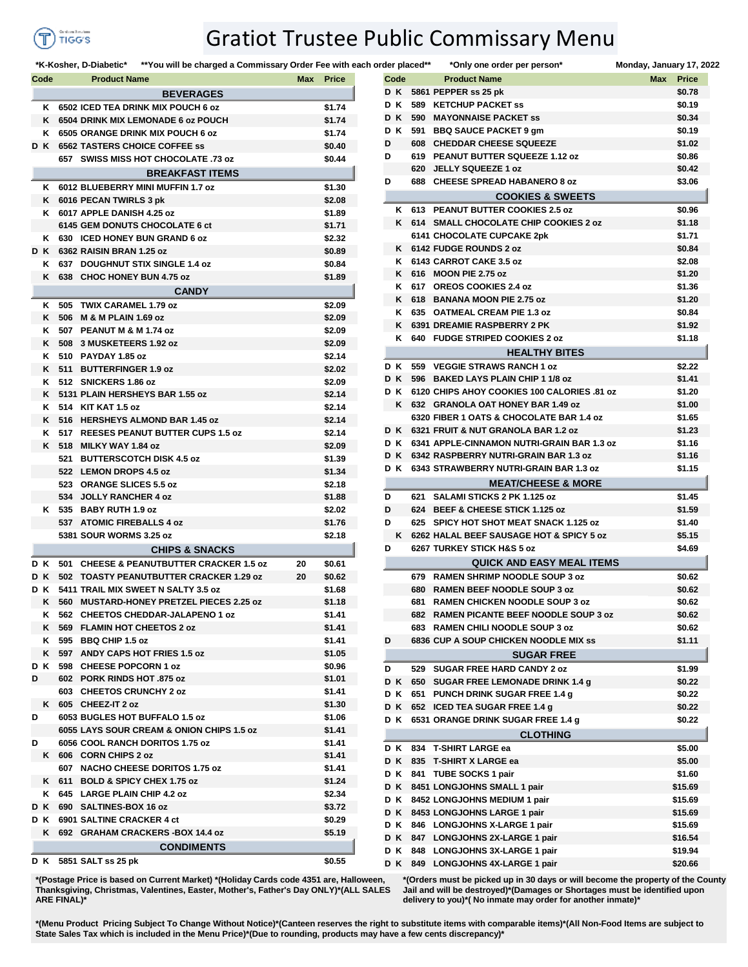

## Gratiot Trustee Public Commissary Menu

**\*K-Kosher, D-Diabetic\*** \*\*You will be charged a Commissary Order Fee with each order **Code Product Name Max Price Code Product Name Max Price BEVERAGES SUNK 6502 ICED TEA DRINK MIX POUCH 6 oz \$1.74 SUNK 6504 DRINK MIX LEMONADE 6 oz POUCH \$1.74 SUNK 6505 ORANGE DRINK MIX POUCH 6 oz \$1.74 SUN D K 6562 TASTERS CHOICE COFFEE ss \$0.40 SUN 657 SWISS MISS HOT CHOCOLATE .73 oz \$0.44 BREAKFAST ITEMS SUNK 6012 BLUEBERRY MINI MUFFIN 1.7 oz \$1.30 SUNK 6016 PECAN TWIRLS 3 pk \$2.08 SUNK 6017 APPLE DANISH 4.25 oz \$1.89 SUN 6145 GEM DONUTS CHOCOLATE 6 ct \$1.71 SUNK 630 ICED HONEY BUN GRAND 6 oz \$2.32 SUN D K 6362 RAISIN BRAN 1.25 oz \$0.89 SUNK 637 DOUGHNUT STIX SINGLE 1.4 oz \$0.84 SUNK 638 CHOC HONEY BUN 4.75 oz \$1.89 CANDY SUNK 505 TWIX CARAMEL 1.79 oz \$2.09 SUNK 506 M & M PLAIN 1.69 oz \$2.09 SUNK 507 PEANUT M & M 1.74 oz \$2.09 SUNK 508 3 MUSKETEERS 1.92 oz \$2.09 SUNK 510 PAYDAY 1.85 oz \$2.14 SUNK 511 BUTTERFINGER 1.9 oz \$2.02 SUNK 512 SNICKERS 1.86 oz \$2.09 SUNK 5131 PLAIN HERSHEYS BAR 1.55 oz \$2.14 SUNK 514 KIT KAT 1.5 oz \$2.14 SUNK 516 HERSHEYS ALMOND BAR 1.45 oz \$2.14 SUNK 517 REESES PEANUT BUTTER CUPS 1.5 oz \$2.14 SUNK 518 MILKY WAY 1.84 oz \$2.09 SUN 521 BUTTERSCOTCH DISK 4.5 oz \$1.39 SUN 522 LEMON DROPS 4.5 oz \$1.34 SUN 523 ORANGE SLICES 5.5 oz \$2.18 SUN 534 JOLLY RANCHER 4 oz \$1.88 SUNK 535 BABY RUTH 1.9 oz \$2.02 SUN 537 ATOMIC FIREBALLS 4 oz \$1.76 SUN 5381 SOUR WORMS 3.25 oz \$2.18 CHIPS & SNACKS SUN D K 501 CHEESE & PEANUTBUTTER CRACKER 1.5 oz 20 \$0.61 SUN D K 502 TOASTY PEANUTBUTTER CRACKER 1.29 oz 20 \$0.62 SUN D K 5411 TRAIL MIX SWEET N SALTY 3.5 oz \$1.68 SUNK 560 MUSTARD-HONEY PRETZEL PIECES 2.25 oz \$1.18 SUNK 562 CHEETOS CHEDDAR-JALAPENO 1 oz \$1.41 SUNK 569 FLAMIN HOT CHEETOS 2 oz \$1.41 SUNK 595 BBQ CHIP 1.5 oz \$1.41 SUNK 597 ANDY CAPS HOT FRIES 1.5 oz \$1.05 SUN D K 598 CHEESE POPCORN 1 oz \$0.96 SUN D 602 PORK RINDS HOT .875 oz \$1.01 SUN 603 CHEETOS CRUNCHY 2 oz \$1.41 SUNK 605 CHEEZ-IT 2 oz \$1.30 SUN D 6053 BUGLES HOT BUFFALO 1.5 oz \$1.06 SUN 6055 LAYS SOUR CREAM & ONION CHIPS 1.5 oz \$1.41 SUN D 6056 COOL RANCH DORITOS 1.75 oz \$1.41 SUNK 606 CORN CHIPS 2 oz \$1.41 SUN 607 NACHO CHEESE DORITOS 1.75 oz \$1.41 SUNK 611 BOLD & SPICY CHEX 1.75 oz \$1.24 SUNK 645 LARGE PLAIN CHIP 4.2 oz \$2.34 SUN D K 690 SALTINES-BOX 16 oz \$3.72 SUN D K 6901 SALTINE CRACKER 4 ct \$0.29 SUNK 692 GRAHAM CRACKERS -BOX 14.4 oz \$5.19 CONDIMENTS SUN D K 5851 SALT ss 25 pk \$0.55**

|          |      | der placed** | *Only one order per person*                                | Monday, January 17, 2022   |
|----------|------|--------------|------------------------------------------------------------|----------------------------|
|          | Code |              | <b>Product Name</b>                                        | <b>Max</b><br><b>Price</b> |
|          | DK.  |              | 5861 PEPPER ss 25 pk                                       | \$0.78                     |
| D K      |      | 589          | <b>KETCHUP PACKET SS</b>                                   | \$0.19                     |
| DК       |      | 590          | <b>MAYONNAISE PACKET SS</b>                                | \$0.34                     |
| DК       |      |              | 591 BBQ SAUCE PACKET 9 gm                                  | \$0.19                     |
| D        |      |              | 608 CHEDDAR CHEESE SQUEEZE                                 | \$1.02                     |
| D        |      |              | 619 PEANUT BUTTER SQUEEZE 1.12 oz                          | \$0.86                     |
|          |      |              | 620 JELLY SQUEEZE 1 oz                                     | \$0.42                     |
| D        |      |              | 688 CHEESE SPREAD HABANERO 8 oz                            | \$3.06                     |
|          |      |              | <b>COOKIES &amp; SWEETS</b>                                |                            |
|          | κ    | 613          | PEANUT BUTTER COOKIES 2.5 oz                               | \$0.96                     |
|          | Κ    |              | 614 SMALL CHOCOLATE CHIP COOKIES 2 oz                      | \$1.18                     |
|          |      |              | 6141 CHOCOLATE CUPCAKE 2pk                                 | \$1.71                     |
|          | Κ    |              | 6142 FUDGE ROUNDS 2 oz                                     | \$0.84                     |
|          | Κ    |              | 6143 CARROT CAKE 3.5 oz                                    | \$2.08                     |
|          | Κ    |              | 616 MOON PIE 2.75 oz                                       | \$1.20                     |
|          | Κ    |              | 617 OREOS COOKIES 2.4 oz                                   | \$1.36                     |
|          | Κ    |              | 618 BANANA MOON PIE 2.75 oz                                | \$1.20                     |
|          | κ    |              | 635 OATMEAL CREAM PIE 1.3 oz                               | \$0.84                     |
|          | Κ    |              | <b>6391 DREAMIE RASPBERRY 2 PK</b>                         | \$1.92                     |
|          | κ    |              | 640 FUDGE STRIPED COOKIES 2 oz                             | \$1.18                     |
|          |      |              | <b>HEALTHY BITES</b>                                       |                            |
| DК       |      | 559          | <b>VEGGIE STRAWS RANCH 1 oz</b>                            | \$2.22                     |
| DК       |      |              | 596 BAKED LAYS PLAIN CHIP 1 1/8 oz                         | \$1.41                     |
| D K      |      |              | 6120 CHIPS AHOY COOKIES 100 CALORIES .81 oz                | \$1.20                     |
|          | Κ    |              | 632 GRANOLA OAT HONEY BAR 1.49 oz                          | \$1.00                     |
|          |      |              | 6320 FIBER 1 OATS & CHOCOLATE BAR 1.4 oz                   | \$1.65                     |
| DK       |      |              | 6321 FRUIT & NUT GRANOLA BAR 1.2 oz                        | \$1.23                     |
|          | D K  |              | 6341 APPLE-CINNAMON NUTRI-GRAIN BAR 1.3 oz                 | \$1.16                     |
|          | D K  |              | 6342 RASPBERRY NUTRI-GRAIN BAR 1.3 oz                      | \$1.16                     |
|          | DК   |              | 6343 STRAWBERRY NUTRI-GRAIN BAR 1.3 oz                     | \$1.15                     |
|          |      |              | <b>MEAT/CHEESE &amp; MORE</b>                              |                            |
| D        |      | 621          | <b>SALAMI STICKS 2 PK 1.125 oz</b>                         | \$1.45                     |
| D        |      |              | 624 BEEF & CHEESE STICK 1.125 oz                           | \$1.59                     |
| D        |      | 625          | <b>SPICY HOT SHOT MEAT SNACK 1.125 oz</b>                  | \$1.40                     |
|          | Κ    |              | 6262 HALAL BEEF SAUSAGE HOT & SPICY 5 oz                   | \$5.15                     |
| D        |      |              | 6267 TURKEY STICK H&S 5 oz                                 | \$4.69                     |
|          |      |              | <b>QUICK AND EASY MEAL ITEMS</b>                           |                            |
|          |      |              | 679 RAMEN SHRIMP NOODLE SOUP 3 oz                          | \$0.62                     |
|          |      | 680          | <b>RAMEN BEEF NOODLE SOUP 3 oz</b>                         | \$0.62                     |
|          |      | 681          | RAMEN CHICKEN NOODLE SOUP 3 oz                             | \$0.62                     |
|          |      | 682          | <b>RAMEN PICANTE BEEF NOODLE SOUP 3 oz</b>                 | \$0.62                     |
|          |      | 683          | <b>RAMEN CHILI NOODLE SOUP 3 oz</b>                        | \$0.62                     |
| D        |      |              | <b>6836 CUP A SOUP CHICKEN NOODLE MIX SS</b>               | \$1.11                     |
|          |      |              | <b>SUGAR FREE</b>                                          |                            |
| D        |      | 529          | <b>SUGAR FREE HARD CANDY 2 oz</b>                          | \$1.99                     |
| DК       |      | 650          | SUGAR FREE LEMONADE DRINK 1.4 g                            | \$0.22                     |
| D K      |      |              | 651 PUNCH DRINK SUGAR FREE 1.4 g                           | \$0.22                     |
| DK       |      | 652          | <b>ICED TEA SUGAR FREE 1.4 g</b>                           | \$0.22                     |
| DК       |      |              | 6531 ORANGE DRINK SUGAR FREE 1.4 g                         | \$0.22                     |
|          |      |              | <b>CLOTHING</b>                                            |                            |
| DК       |      | 834          | <b>T-SHIRT LARGE ea</b>                                    | \$5.00                     |
| DК       |      | 835          | <b>T-SHIRT X LARGE ea</b>                                  | \$5.00                     |
| DК       |      | 841          | <b>TUBE SOCKS 1 pair</b>                                   | \$1.60                     |
| DК       |      |              | 8451 LONGJOHNS SMALL 1 pair                                | \$15.69                    |
| DК       |      |              | 8452 LONGJOHNS MEDIUM 1 pair                               | \$15.69                    |
| D K      |      |              | 8453 LONGJOHNS LARGE 1 pair                                | \$15.69                    |
|          |      |              | 846 LONGJOHNS X-LARGE 1 pair                               | \$15.69                    |
|          |      |              |                                                            |                            |
|          | DК   |              |                                                            |                            |
| DК<br>DК |      | 847          | LONGJOHNS 2X-LARGE 1 pair<br>848 LONGJOHNS 3X-LARGE 1 pair | \$16.54<br>\$19.94         |

**\*(Postage Price is based on Current Market) \*(Holiday Cards code 4351 are, Halloween, Thanksgiving, Christmas, Valentines, Easter, Mother's, Father's Day ONLY)\*(ALL SALES ARE FINAL)\***

**\*(Orders must be picked up in 30 days or will become the property of the County Jail and will be destroyed)\*(Damages or Shortages must be identified upon delivery to you)\*( No inmate may order for another inmate)\***

**\*(Menu Product Pricing Subject To Change Without Notice)\*(Canteen reserves the right to substitute items with comparable items)\*(All Non-Food Items are subject to State Sales Tax which is included in the Menu Price)\*(Due to rounding, products may have a few cents discrepancy)\***